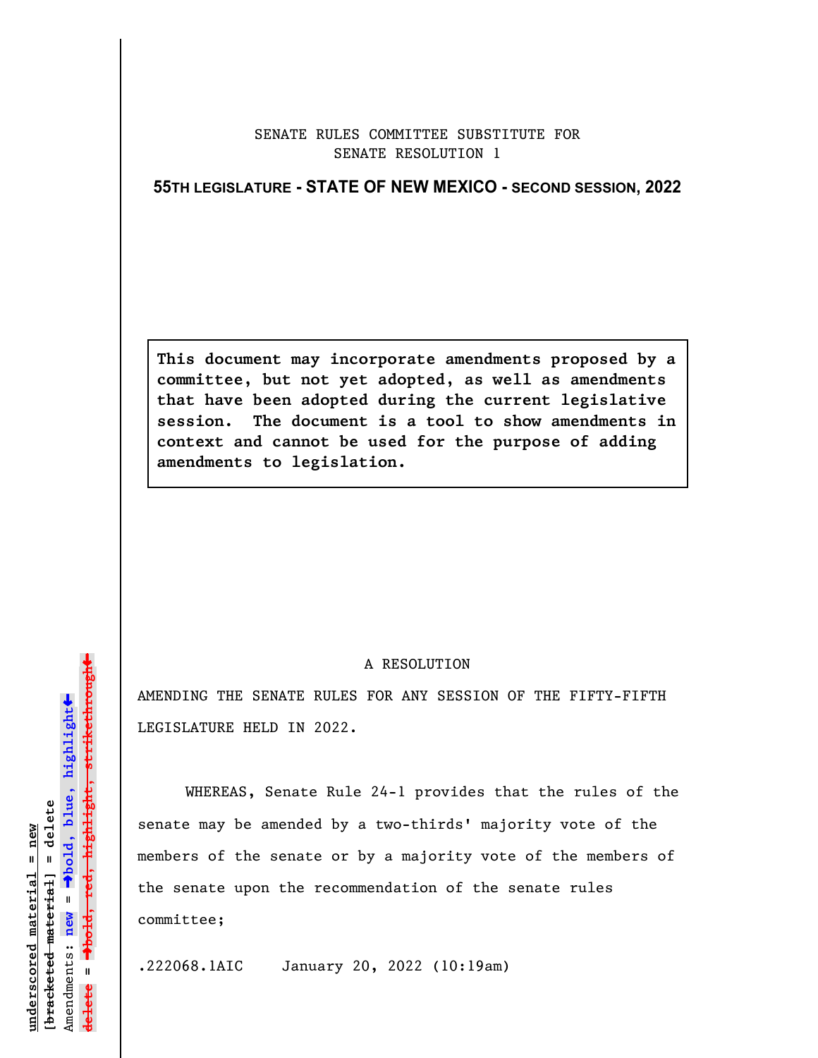## SENATE RULES COMMITTEE SUBSTITUTE FOR SENATE RESOLUTION 1

## **55TH LEGISLATURE - STATE OF NEW MEXICO - SECOND SESSION, 2022**

**This document may incorporate amendments proposed by a committee, but not yet adopted, as well as amendments that have been adopted during the current legislative session. The document is a tool to show amendments in context and cannot be used for the purpose of adding amendments to legislation.**

## A RESOLUTION

AMENDING THE SENATE RULES FOR ANY SESSION OF THE FIFTY-FIFTH LEGISLATURE HELD IN 2022.

WHEREAS, Senate Rule 24-1 provides that the rules of the senate may be amended by a two-thirds' majority vote of the members of the senate or by a majority vote of the members of the senate upon the recommendation of the senate rules committee;

.222068.1AIC January 20, 2022 (10:19am)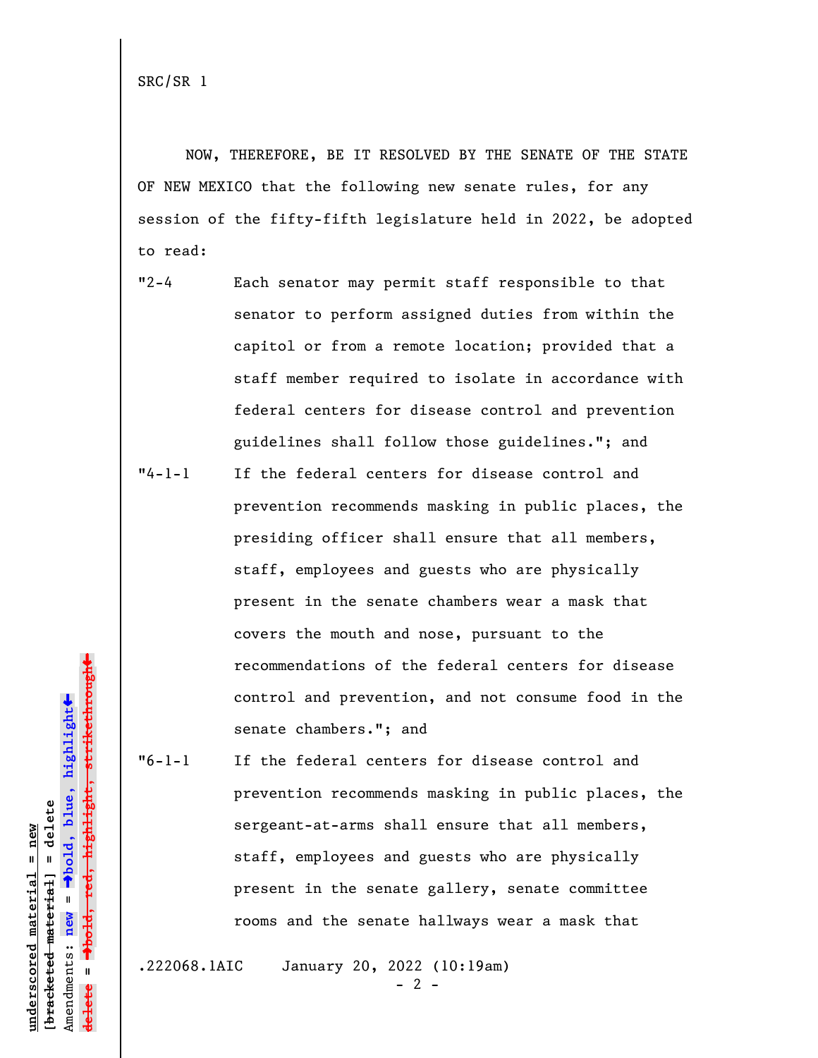SRC/SR 1

NOW, THEREFORE, BE IT RESOLVED BY THE SENATE OF THE STATE OF NEW MEXICO that the following new senate rules, for any session of the fifty-fifth legislature held in 2022, be adopted to read:

- "2-4 Each senator may permit staff responsible to that senator to perform assigned duties from within the capitol or from a remote location; provided that a staff member required to isolate in accordance with federal centers for disease control and prevention guidelines shall follow those guidelines."; and
- "4-1-1 If the federal centers for disease control and prevention recommends masking in public places, the presiding officer shall ensure that all members, staff, employees and guests who are physically present in the senate chambers wear a mask that covers the mouth and nose, pursuant to the recommendations of the federal centers for disease control and prevention, and not consume food in the senate chambers."; and

"6-1-1 If the federal centers for disease control and prevention recommends masking in public places, the sergeant-at-arms shall ensure that all members, staff, employees and guests who are physically present in the senate gallery, senate committee rooms and the senate hallways wear a mask that

.222068.1AIC January 20, 2022 (10:19am)

 $- 2 -$ 

º**bold, red, highlight, strikethrough** highlight, strikethro  $\ddot{\bullet}$ º**bold, blue, highlight** bracketed material] = delete **[bracketed material] = delete** inderscored material = new **underscored material = new** Amendments: **new** =  $\mathbf{I}$ Amendments: new **delete =**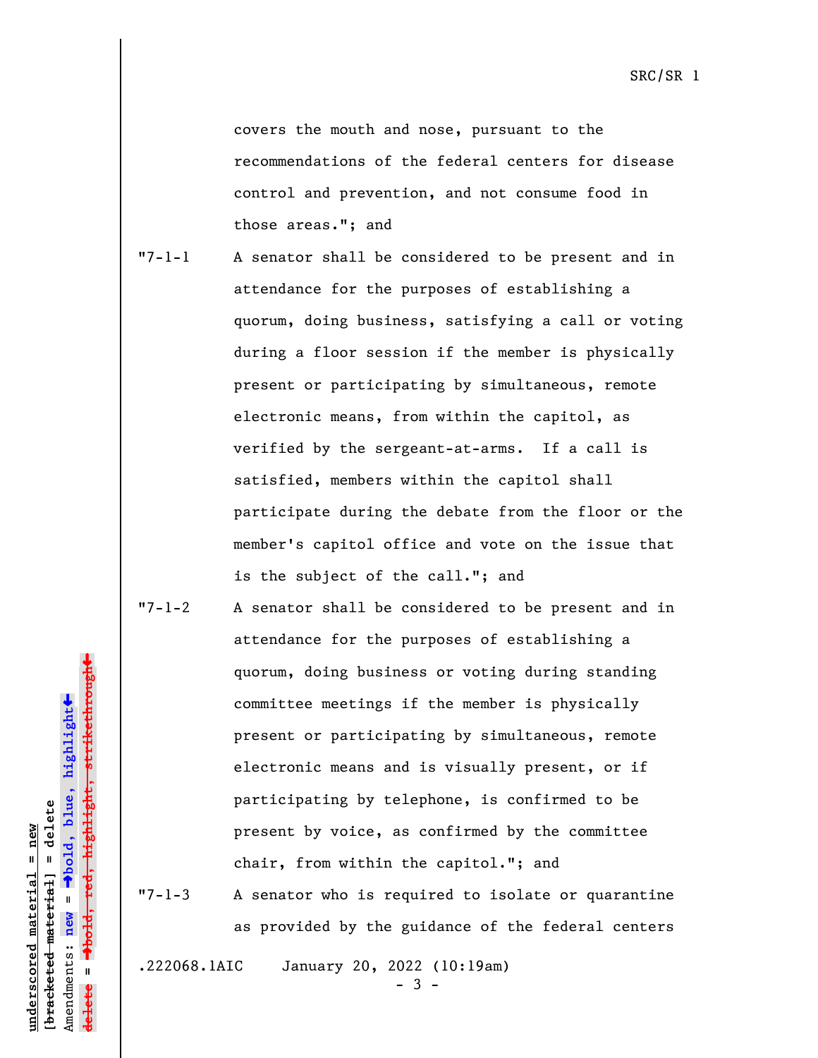covers the mouth and nose, pursuant to the recommendations of the federal centers for disease control and prevention, and not consume food in those areas."; and

- "7-1-1 A senator shall be considered to be present and in attendance for the purposes of establishing a quorum, doing business, satisfying a call or voting during a floor session if the member is physically present or participating by simultaneous, remote electronic means, from within the capitol, as verified by the sergeant-at-arms. If a call is satisfied, members within the capitol shall participate during the debate from the floor or the member's capitol office and vote on the issue that is the subject of the call."; and
- "7-1-2 A senator shall be considered to be present and in attendance for the purposes of establishing a quorum, doing business or voting during standing committee meetings if the member is physically present or participating by simultaneous, remote electronic means and is visually present, or if participating by telephone, is confirmed to be present by voice, as confirmed by the committee chair, from within the capitol."; and

"7-1-3 A senator who is required to isolate or quarantine as provided by the guidance of the federal centers

.222068.1AIC January 20, 2022 (10:19am)

- 3 -

º**bold, red, highlight, strikethrough** highlight, strikethro  $\ddot{\bullet}$ º**bold, blue, highlight** bracketed material] = delete **[bracketed material] = delete** inderscored material = new **underscored material = new** Amendments: **new** =  $\mathbf{I}$ Amendments: new **delete =**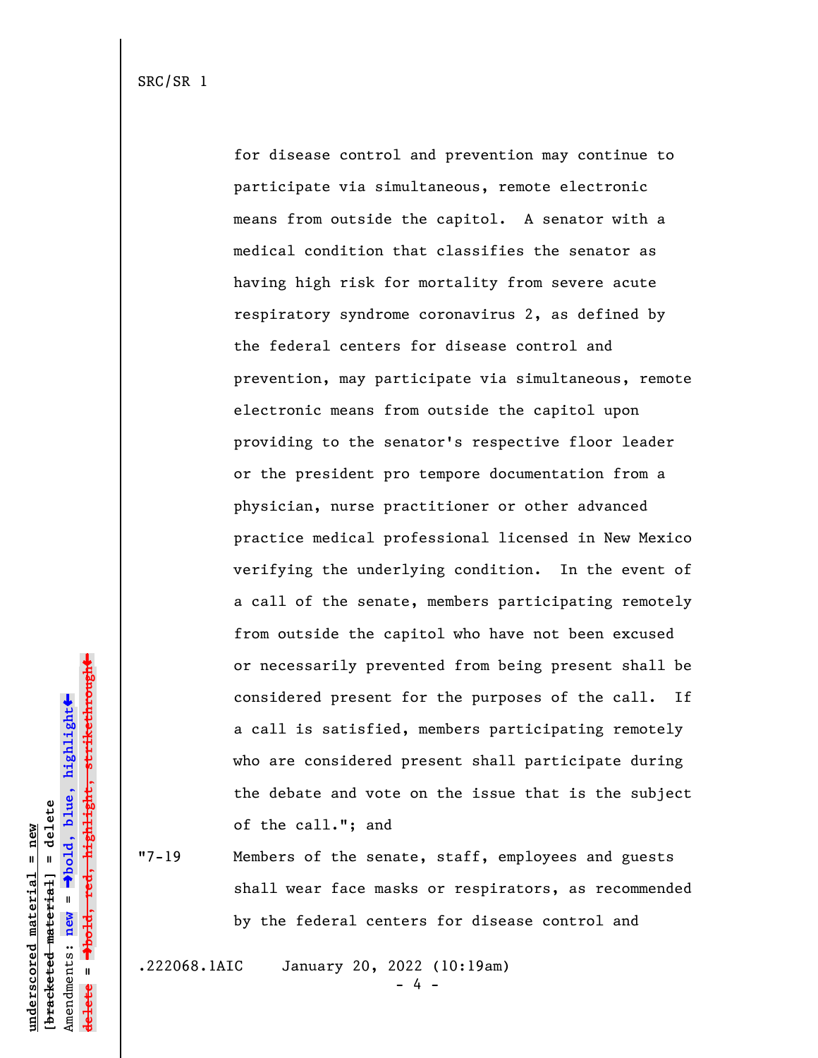for disease control and prevention may continue to participate via simultaneous, remote electronic means from outside the capitol. A senator with a medical condition that classifies the senator as having high risk for mortality from severe acute respiratory syndrome coronavirus 2, as defined by the federal centers for disease control and prevention, may participate via simultaneous, remote electronic means from outside the capitol upon providing to the senator's respective floor leader or the president pro tempore documentation from a physician, nurse practitioner or other advanced practice medical professional licensed in New Mexico verifying the underlying condition. In the event of a call of the senate, members participating remotely from outside the capitol who have not been excused or necessarily prevented from being present shall be considered present for the purposes of the call. If a call is satisfied, members participating remotely who are considered present shall participate during the debate and vote on the issue that is the subject of the call."; and

"7-19 Members of the senate, staff, employees and guests shall wear face masks or respirators, as recommended by the federal centers for disease control and

.222068.1AIC January 20, 2022 (10:19am)

- 4 -

º**bold, red, highlight, strikethrough** highlight, strikethro  $\ddot{\bullet}$ º**bold, blue, highlight** bracketed material] = delete **[bracketed material] = delete** inderscored material = new **underscored material = new** Amendments: **new** =  $\mathbf{I}$ Amendments: new **delete =**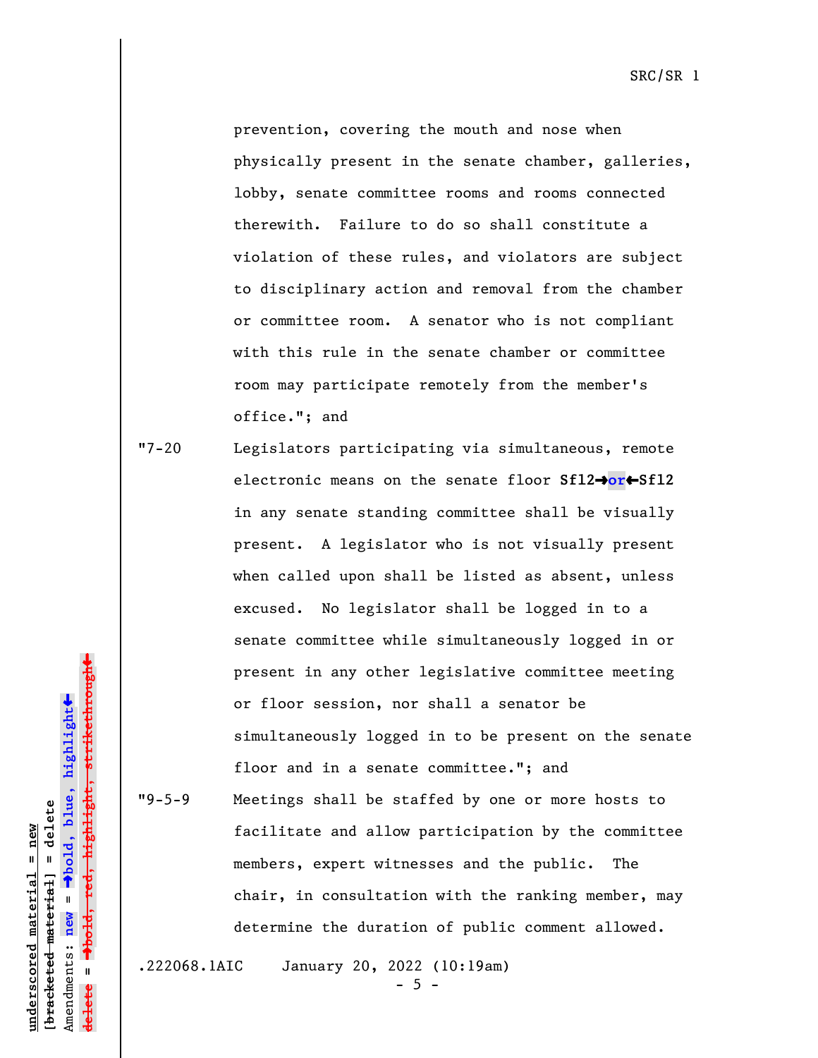SRC/SR 1

prevention, covering the mouth and nose when physically present in the senate chamber, galleries, lobby, senate committee rooms and rooms connected therewith. Failure to do so shall constitute a violation of these rules, and violators are subject to disciplinary action and removal from the chamber or committee room. A senator who is not compliant with this rule in the senate chamber or committee room may participate remotely from the member's office."; and

"7-20 Legislators participating via simultaneous, remote electronic means on the senate floor **Sfl2**º**or**»**Sfl2** in any senate standing committee shall be visually present. A legislator who is not visually present when called upon shall be listed as absent, unless excused. No legislator shall be logged in to a senate committee while simultaneously logged in or present in any other legislative committee meeting or floor session, nor shall a senator be simultaneously logged in to be present on the senate floor and in a senate committee."; and "9-5-9 Meetings shall be staffed by one or more hosts to facilitate and allow participation by the committee

> members, expert witnesses and the public. The chair, in consultation with the ranking member, may determine the duration of public comment allowed.

**underscored material = new [bracketed material] = delete**

bracketed material] = delete inderscored material = new

Amendments: **new** =

Amendments: new

 $\mathbf{I}$ 

**delete =**

º**bold, blue, highlight**

º**bold, red, highlight, strikethrough**

highlight, strikethro

 $\ddot{\bullet}$ 

»

.222068.1AIC January 20, 2022 (10:19am)

 $-5 -$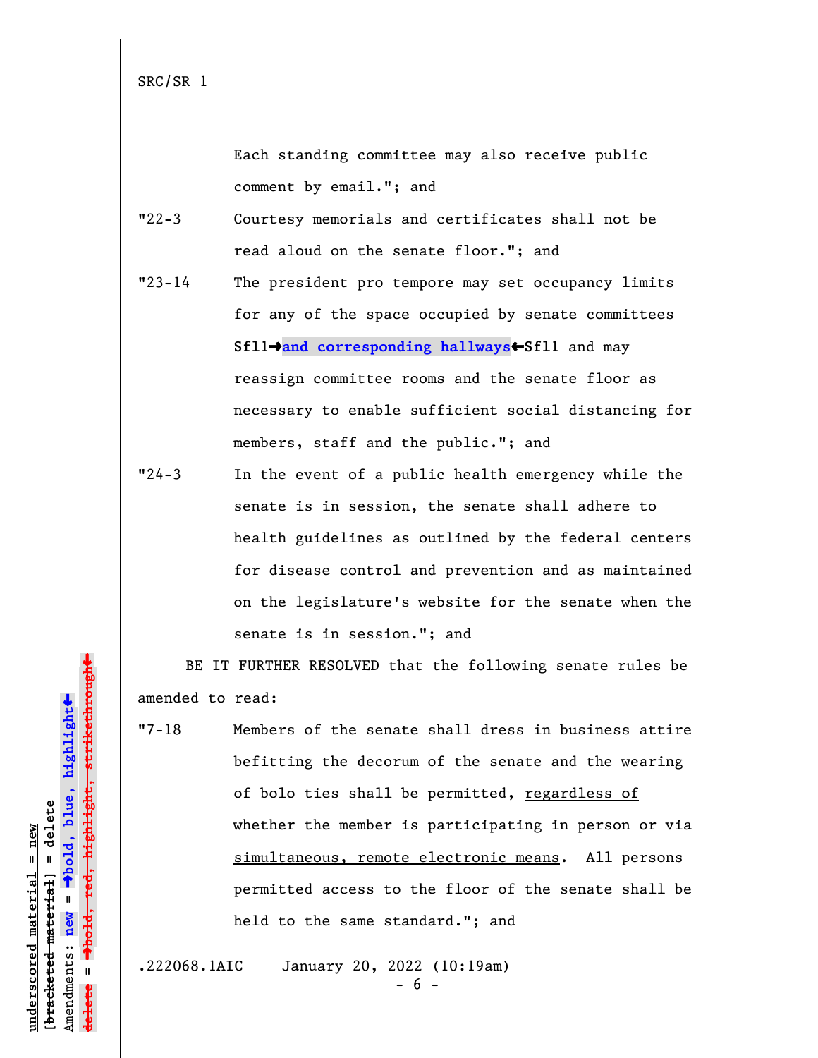SRC/SR 1

Each standing committee may also receive public comment by email."; and

- "22-3 Courtesy memorials and certificates shall not be read aloud on the senate floor."; and
- "23-14 The president pro tempore may set occupancy limits for any of the space occupied by senate committees **Sfl1**º**and corresponding hallways**»**Sfl1** and may reassign committee rooms and the senate floor as necessary to enable sufficient social distancing for members, staff and the public."; and
- "24-3 In the event of a public health emergency while the senate is in session, the senate shall adhere to health guidelines as outlined by the federal centers for disease control and prevention and as maintained on the legislature's website for the senate when the senate is in session."; and

BE IT FURTHER RESOLVED that the following senate rules be amended to read:

"7-18 Members of the senate shall dress in business attire befitting the decorum of the senate and the wearing of bolo ties shall be permitted, regardless of whether the member is participating in person or via simultaneous, remote electronic means. All persons permitted access to the floor of the senate shall be held to the same standard."; and

.222068.1AIC January 20, 2022 (10:19am)

**underscored material = new [bracketed material] = delete**

bracketed material] = delete inderscored material = new

Amendments: **new** =

Amendments: new

 $\mathbf{u}$ 

**delete =**

º**bold, blue, highlight**

º**bold, red, highlight, strikethrough**

<del>highlight, strikethrou</del>

 $\ddot{\bullet}$